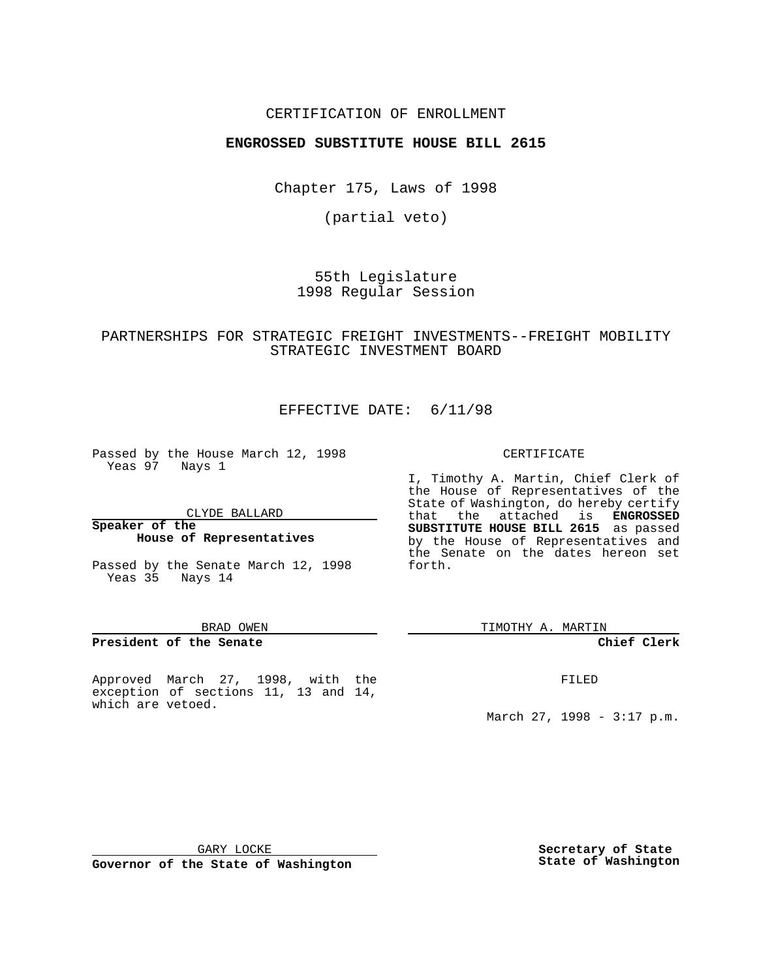# CERTIFICATION OF ENROLLMENT

# **ENGROSSED SUBSTITUTE HOUSE BILL 2615**

Chapter 175, Laws of 1998

(partial veto)

55th Legislature 1998 Regular Session

# PARTNERSHIPS FOR STRATEGIC FREIGHT INVESTMENTS--FREIGHT MOBILITY STRATEGIC INVESTMENT BOARD

# EFFECTIVE DATE: 6/11/98

Passed by the House March 12, 1998 Yeas 97 Nays 1

CLYDE BALLARD

**Speaker of the House of Representatives**

Passed by the Senate March 12, 1998 Yeas 35 Nays 14

#### BRAD OWEN

## **President of the Senate**

Approved March 27, 1998, with the exception of sections 11, 13 and 14, which are vetoed.

### CERTIFICATE

I, Timothy A. Martin, Chief Clerk of the House of Representatives of the State of Washington, do hereby certify that the attached is **ENGROSSED SUBSTITUTE HOUSE BILL 2615** as passed by the House of Representatives and the Senate on the dates hereon set forth.

TIMOTHY A. MARTIN

# **Chief Clerk**

FILED

March 27, 1998 - 3:17 p.m.

GARY LOCKE

**Governor of the State of Washington**

**Secretary of State State of Washington**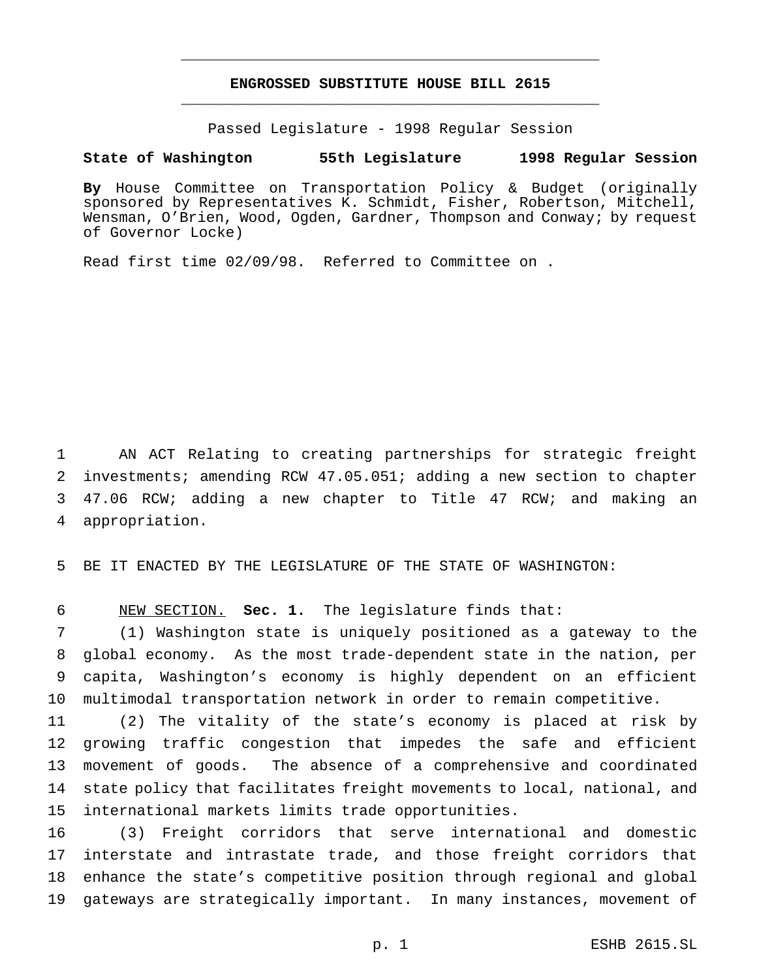# **ENGROSSED SUBSTITUTE HOUSE BILL 2615** \_\_\_\_\_\_\_\_\_\_\_\_\_\_\_\_\_\_\_\_\_\_\_\_\_\_\_\_\_\_\_\_\_\_\_\_\_\_\_\_\_\_\_\_\_\_\_

\_\_\_\_\_\_\_\_\_\_\_\_\_\_\_\_\_\_\_\_\_\_\_\_\_\_\_\_\_\_\_\_\_\_\_\_\_\_\_\_\_\_\_\_\_\_\_

Passed Legislature - 1998 Regular Session

# **State of Washington 55th Legislature 1998 Regular Session**

**By** House Committee on Transportation Policy & Budget (originally sponsored by Representatives K. Schmidt, Fisher, Robertson, Mitchell, Wensman, O'Brien, Wood, Ogden, Gardner, Thompson and Conway; by request of Governor Locke)

Read first time 02/09/98. Referred to Committee on .

 AN ACT Relating to creating partnerships for strategic freight investments; amending RCW 47.05.051; adding a new section to chapter 47.06 RCW; adding a new chapter to Title 47 RCW; and making an appropriation.

BE IT ENACTED BY THE LEGISLATURE OF THE STATE OF WASHINGTON:

NEW SECTION. **Sec. 1.** The legislature finds that:

 (1) Washington state is uniquely positioned as a gateway to the global economy. As the most trade-dependent state in the nation, per capita, Washington's economy is highly dependent on an efficient multimodal transportation network in order to remain competitive.

 (2) The vitality of the state's economy is placed at risk by growing traffic congestion that impedes the safe and efficient movement of goods. The absence of a comprehensive and coordinated state policy that facilitates freight movements to local, national, and international markets limits trade opportunities.

 (3) Freight corridors that serve international and domestic interstate and intrastate trade, and those freight corridors that enhance the state's competitive position through regional and global gateways are strategically important. In many instances, movement of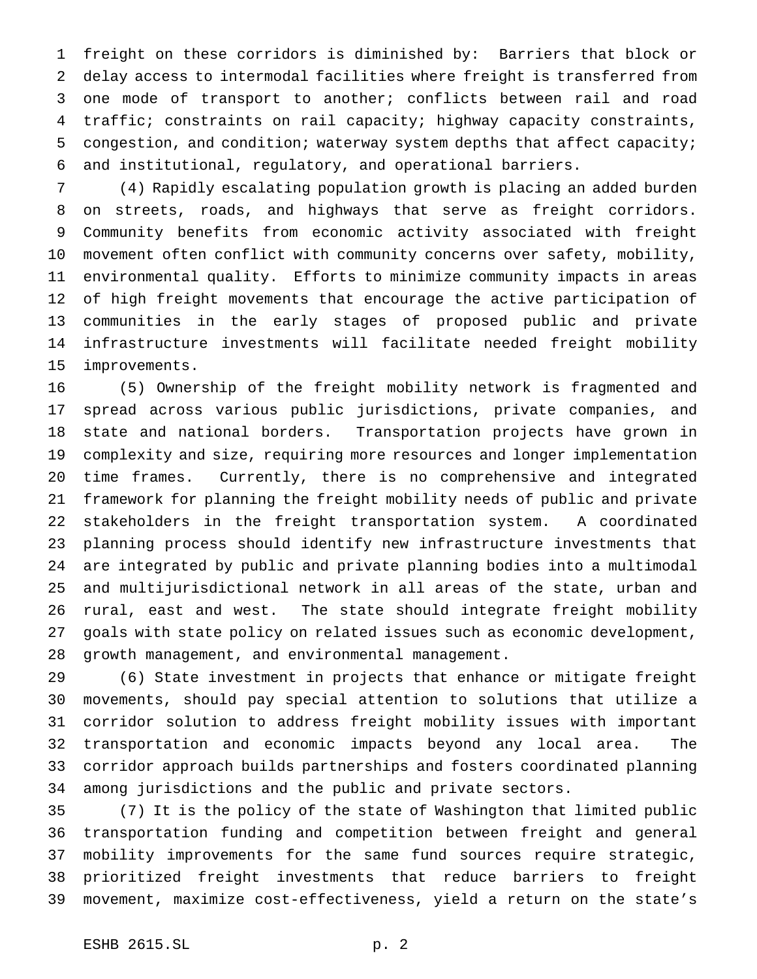freight on these corridors is diminished by: Barriers that block or delay access to intermodal facilities where freight is transferred from one mode of transport to another; conflicts between rail and road traffic; constraints on rail capacity; highway capacity constraints, congestion, and condition; waterway system depths that affect capacity; and institutional, regulatory, and operational barriers.

 (4) Rapidly escalating population growth is placing an added burden on streets, roads, and highways that serve as freight corridors. Community benefits from economic activity associated with freight movement often conflict with community concerns over safety, mobility, environmental quality. Efforts to minimize community impacts in areas of high freight movements that encourage the active participation of communities in the early stages of proposed public and private infrastructure investments will facilitate needed freight mobility improvements.

 (5) Ownership of the freight mobility network is fragmented and spread across various public jurisdictions, private companies, and state and national borders. Transportation projects have grown in complexity and size, requiring more resources and longer implementation time frames. Currently, there is no comprehensive and integrated framework for planning the freight mobility needs of public and private stakeholders in the freight transportation system. A coordinated planning process should identify new infrastructure investments that are integrated by public and private planning bodies into a multimodal and multijurisdictional network in all areas of the state, urban and rural, east and west. The state should integrate freight mobility goals with state policy on related issues such as economic development, growth management, and environmental management.

 (6) State investment in projects that enhance or mitigate freight movements, should pay special attention to solutions that utilize a corridor solution to address freight mobility issues with important transportation and economic impacts beyond any local area. The corridor approach builds partnerships and fosters coordinated planning among jurisdictions and the public and private sectors.

 (7) It is the policy of the state of Washington that limited public transportation funding and competition between freight and general mobility improvements for the same fund sources require strategic, prioritized freight investments that reduce barriers to freight movement, maximize cost-effectiveness, yield a return on the state's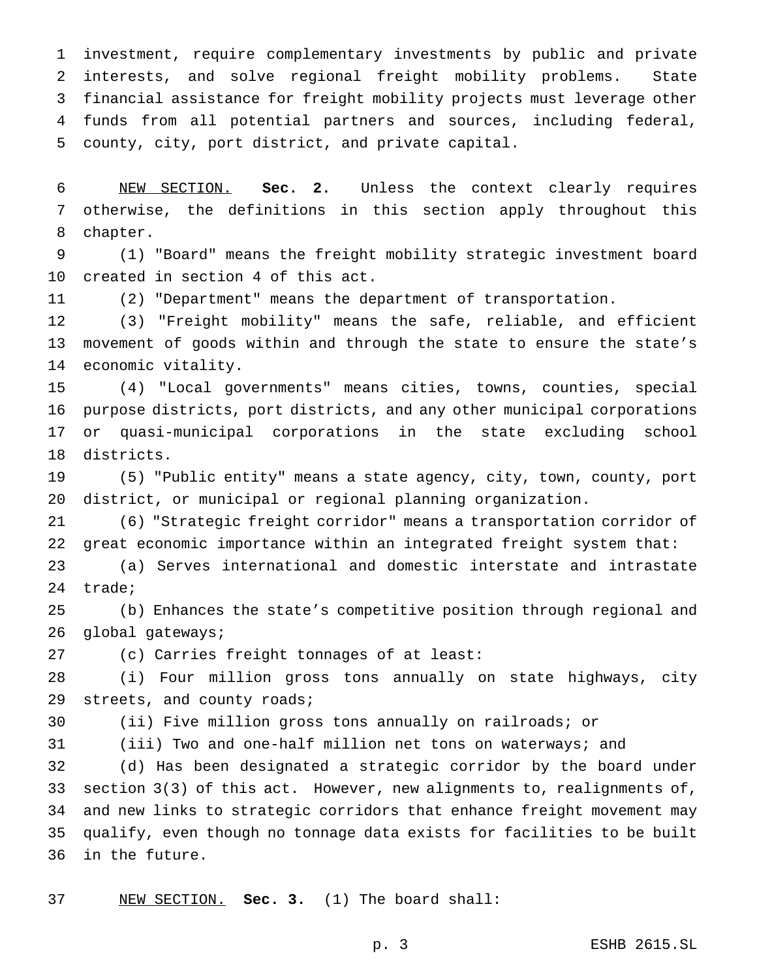investment, require complementary investments by public and private interests, and solve regional freight mobility problems. State financial assistance for freight mobility projects must leverage other funds from all potential partners and sources, including federal, county, city, port district, and private capital.

 NEW SECTION. **Sec. 2.** Unless the context clearly requires otherwise, the definitions in this section apply throughout this chapter.

 (1) "Board" means the freight mobility strategic investment board created in section 4 of this act.

(2) "Department" means the department of transportation.

 (3) "Freight mobility" means the safe, reliable, and efficient movement of goods within and through the state to ensure the state's economic vitality.

 (4) "Local governments" means cities, towns, counties, special purpose districts, port districts, and any other municipal corporations or quasi-municipal corporations in the state excluding school districts.

 (5) "Public entity" means a state agency, city, town, county, port district, or municipal or regional planning organization.

 (6) "Strategic freight corridor" means a transportation corridor of great economic importance within an integrated freight system that:

 (a) Serves international and domestic interstate and intrastate trade;

 (b) Enhances the state's competitive position through regional and global gateways;

(c) Carries freight tonnages of at least:

 (i) Four million gross tons annually on state highways, city streets, and county roads;

(ii) Five million gross tons annually on railroads; or

(iii) Two and one-half million net tons on waterways; and

 (d) Has been designated a strategic corridor by the board under section 3(3) of this act. However, new alignments to, realignments of, and new links to strategic corridors that enhance freight movement may qualify, even though no tonnage data exists for facilities to be built in the future.

NEW SECTION. **Sec. 3.** (1) The board shall:

p. 3 ESHB 2615.SL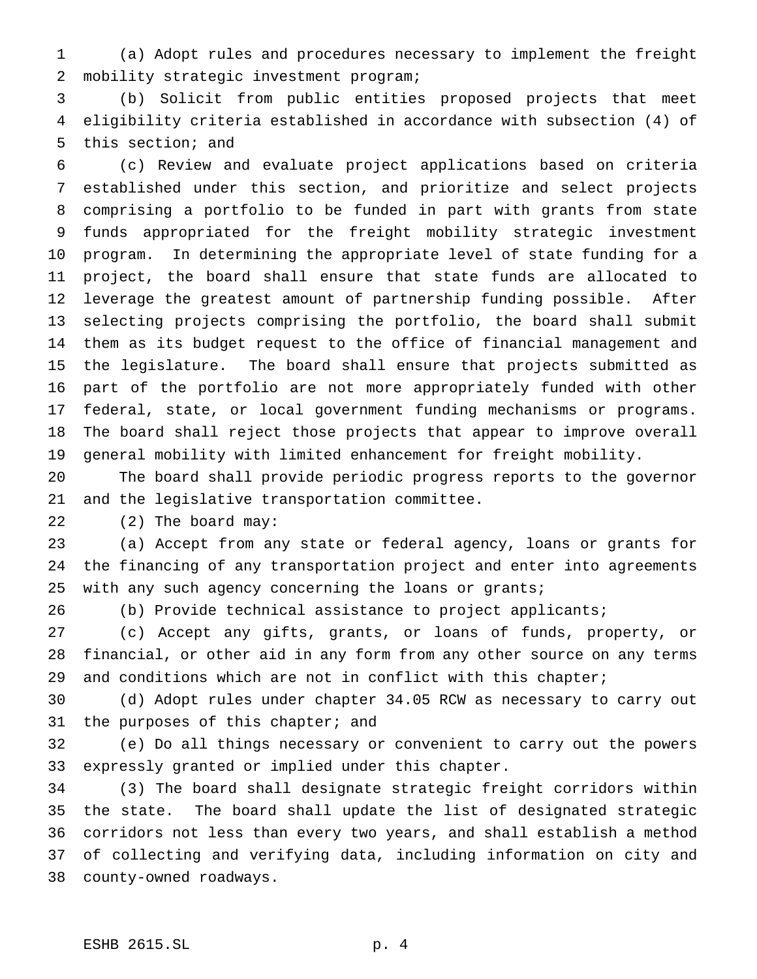(a) Adopt rules and procedures necessary to implement the freight 2 mobility strategic investment program;

 (b) Solicit from public entities proposed projects that meet eligibility criteria established in accordance with subsection (4) of this section; and

 (c) Review and evaluate project applications based on criteria established under this section, and prioritize and select projects comprising a portfolio to be funded in part with grants from state funds appropriated for the freight mobility strategic investment program. In determining the appropriate level of state funding for a project, the board shall ensure that state funds are allocated to leverage the greatest amount of partnership funding possible. After selecting projects comprising the portfolio, the board shall submit them as its budget request to the office of financial management and the legislature. The board shall ensure that projects submitted as part of the portfolio are not more appropriately funded with other federal, state, or local government funding mechanisms or programs. The board shall reject those projects that appear to improve overall general mobility with limited enhancement for freight mobility.

 The board shall provide periodic progress reports to the governor and the legislative transportation committee.

(2) The board may:

 (a) Accept from any state or federal agency, loans or grants for the financing of any transportation project and enter into agreements with any such agency concerning the loans or grants;

(b) Provide technical assistance to project applicants;

 (c) Accept any gifts, grants, or loans of funds, property, or financial, or other aid in any form from any other source on any terms 29 and conditions which are not in conflict with this chapter;

 (d) Adopt rules under chapter 34.05 RCW as necessary to carry out 31 the purposes of this chapter; and

 (e) Do all things necessary or convenient to carry out the powers expressly granted or implied under this chapter.

 (3) The board shall designate strategic freight corridors within the state. The board shall update the list of designated strategic corridors not less than every two years, and shall establish a method of collecting and verifying data, including information on city and county-owned roadways.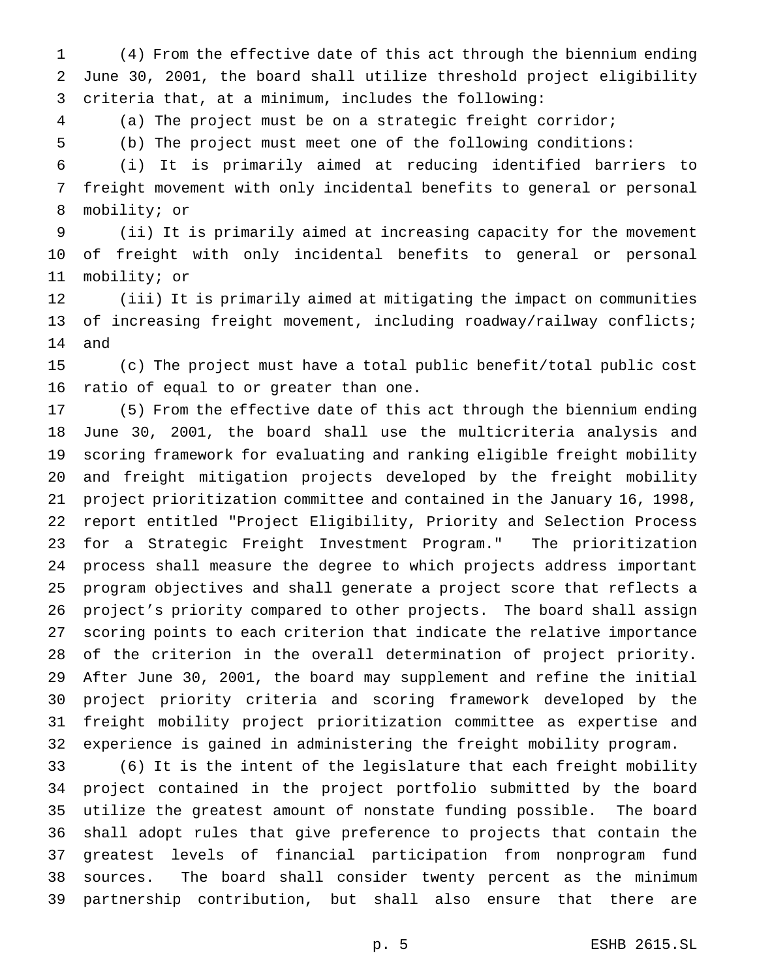(4) From the effective date of this act through the biennium ending June 30, 2001, the board shall utilize threshold project eligibility criteria that, at a minimum, includes the following:

(a) The project must be on a strategic freight corridor;

(b) The project must meet one of the following conditions:

 (i) It is primarily aimed at reducing identified barriers to freight movement with only incidental benefits to general or personal mobility; or

 (ii) It is primarily aimed at increasing capacity for the movement of freight with only incidental benefits to general or personal mobility; or

 (iii) It is primarily aimed at mitigating the impact on communities 13 of increasing freight movement, including roadway/railway conflicts; and

 (c) The project must have a total public benefit/total public cost ratio of equal to or greater than one.

 (5) From the effective date of this act through the biennium ending June 30, 2001, the board shall use the multicriteria analysis and scoring framework for evaluating and ranking eligible freight mobility and freight mitigation projects developed by the freight mobility project prioritization committee and contained in the January 16, 1998, report entitled "Project Eligibility, Priority and Selection Process for a Strategic Freight Investment Program." The prioritization process shall measure the degree to which projects address important program objectives and shall generate a project score that reflects a project's priority compared to other projects. The board shall assign scoring points to each criterion that indicate the relative importance of the criterion in the overall determination of project priority. After June 30, 2001, the board may supplement and refine the initial project priority criteria and scoring framework developed by the freight mobility project prioritization committee as expertise and experience is gained in administering the freight mobility program.

 (6) It is the intent of the legislature that each freight mobility project contained in the project portfolio submitted by the board utilize the greatest amount of nonstate funding possible. The board shall adopt rules that give preference to projects that contain the greatest levels of financial participation from nonprogram fund sources. The board shall consider twenty percent as the minimum partnership contribution, but shall also ensure that there are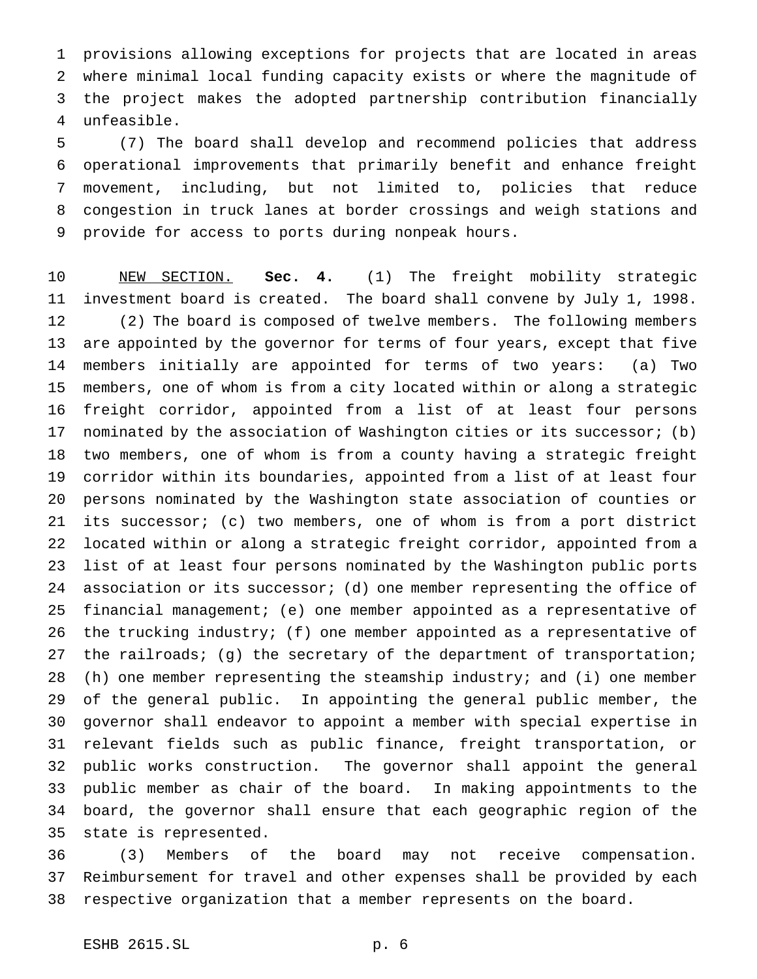provisions allowing exceptions for projects that are located in areas where minimal local funding capacity exists or where the magnitude of the project makes the adopted partnership contribution financially unfeasible.

 (7) The board shall develop and recommend policies that address operational improvements that primarily benefit and enhance freight movement, including, but not limited to, policies that reduce congestion in truck lanes at border crossings and weigh stations and provide for access to ports during nonpeak hours.

 NEW SECTION. **Sec. 4.** (1) The freight mobility strategic investment board is created. The board shall convene by July 1, 1998. (2) The board is composed of twelve members. The following members are appointed by the governor for terms of four years, except that five members initially are appointed for terms of two years: (a) Two members, one of whom is from a city located within or along a strategic freight corridor, appointed from a list of at least four persons nominated by the association of Washington cities or its successor; (b) two members, one of whom is from a county having a strategic freight corridor within its boundaries, appointed from a list of at least four persons nominated by the Washington state association of counties or its successor; (c) two members, one of whom is from a port district located within or along a strategic freight corridor, appointed from a list of at least four persons nominated by the Washington public ports association or its successor; (d) one member representing the office of financial management; (e) one member appointed as a representative of the trucking industry; (f) one member appointed as a representative of 27 the railroads; (g) the secretary of the department of transportation; (h) one member representing the steamship industry; and (i) one member of the general public. In appointing the general public member, the governor shall endeavor to appoint a member with special expertise in relevant fields such as public finance, freight transportation, or public works construction. The governor shall appoint the general public member as chair of the board. In making appointments to the board, the governor shall ensure that each geographic region of the state is represented.

 (3) Members of the board may not receive compensation. Reimbursement for travel and other expenses shall be provided by each respective organization that a member represents on the board.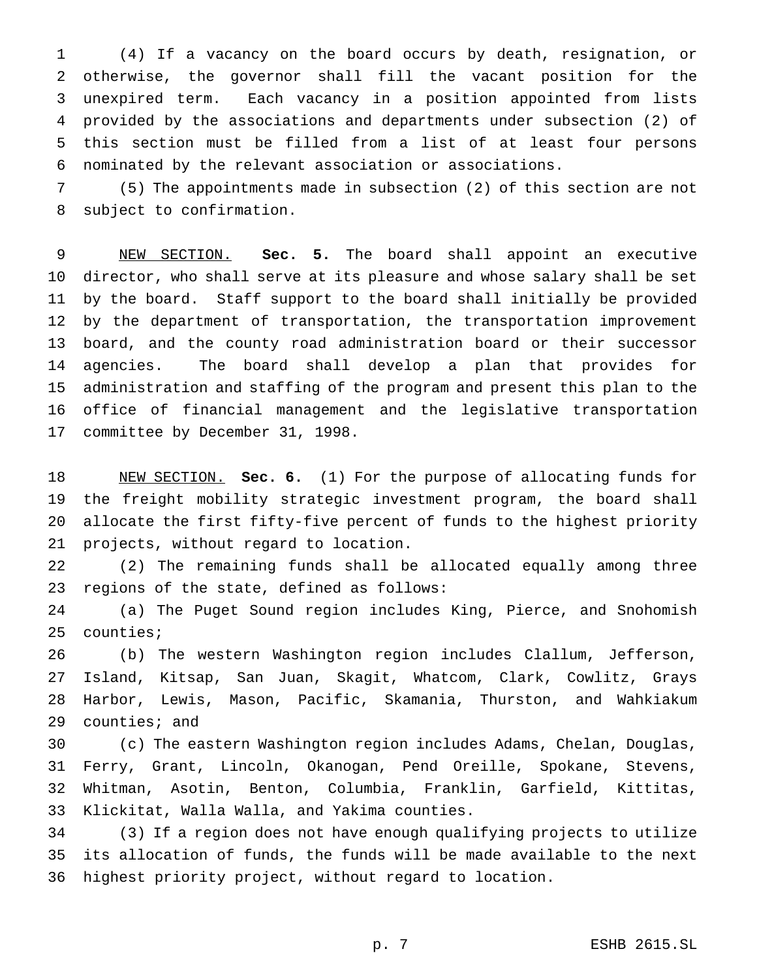(4) If a vacancy on the board occurs by death, resignation, or otherwise, the governor shall fill the vacant position for the unexpired term. Each vacancy in a position appointed from lists provided by the associations and departments under subsection (2) of this section must be filled from a list of at least four persons nominated by the relevant association or associations.

 (5) The appointments made in subsection (2) of this section are not subject to confirmation.

 NEW SECTION. **Sec. 5.** The board shall appoint an executive director, who shall serve at its pleasure and whose salary shall be set by the board. Staff support to the board shall initially be provided by the department of transportation, the transportation improvement board, and the county road administration board or their successor agencies. The board shall develop a plan that provides for administration and staffing of the program and present this plan to the office of financial management and the legislative transportation committee by December 31, 1998.

 NEW SECTION. **Sec. 6.** (1) For the purpose of allocating funds for the freight mobility strategic investment program, the board shall allocate the first fifty-five percent of funds to the highest priority projects, without regard to location.

 (2) The remaining funds shall be allocated equally among three regions of the state, defined as follows:

 (a) The Puget Sound region includes King, Pierce, and Snohomish counties;

 (b) The western Washington region includes Clallum, Jefferson, Island, Kitsap, San Juan, Skagit, Whatcom, Clark, Cowlitz, Grays Harbor, Lewis, Mason, Pacific, Skamania, Thurston, and Wahkiakum counties; and

 (c) The eastern Washington region includes Adams, Chelan, Douglas, Ferry, Grant, Lincoln, Okanogan, Pend Oreille, Spokane, Stevens, Whitman, Asotin, Benton, Columbia, Franklin, Garfield, Kittitas, Klickitat, Walla Walla, and Yakima counties.

 (3) If a region does not have enough qualifying projects to utilize its allocation of funds, the funds will be made available to the next highest priority project, without regard to location.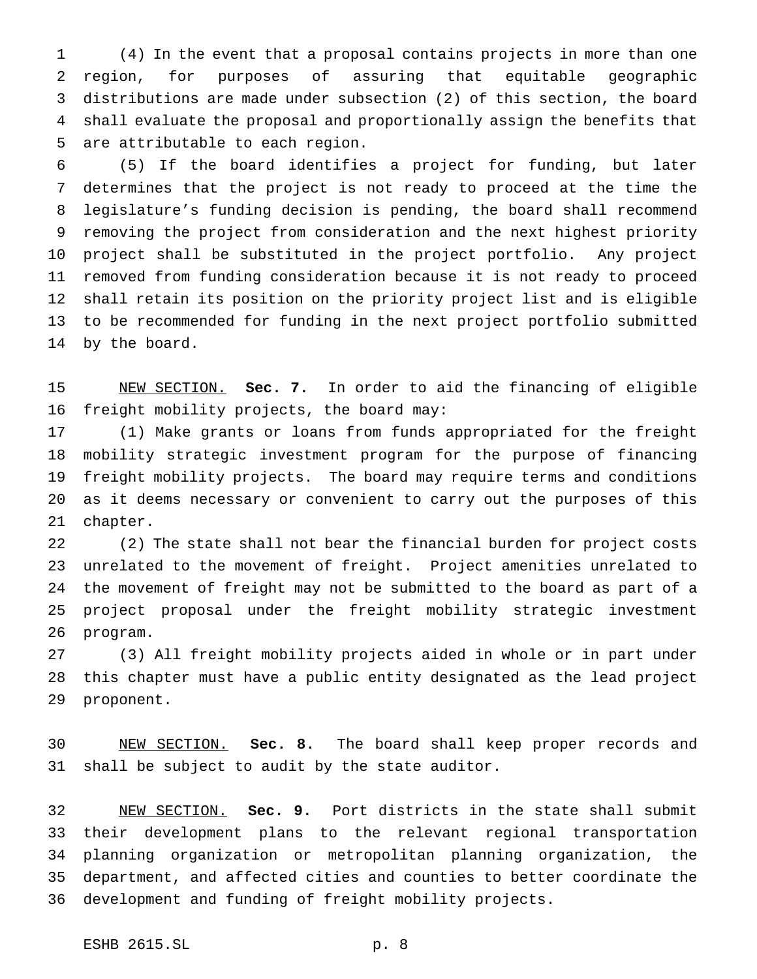(4) In the event that a proposal contains projects in more than one region, for purposes of assuring that equitable geographic distributions are made under subsection (2) of this section, the board shall evaluate the proposal and proportionally assign the benefits that are attributable to each region.

 (5) If the board identifies a project for funding, but later determines that the project is not ready to proceed at the time the legislature's funding decision is pending, the board shall recommend removing the project from consideration and the next highest priority project shall be substituted in the project portfolio. Any project removed from funding consideration because it is not ready to proceed shall retain its position on the priority project list and is eligible to be recommended for funding in the next project portfolio submitted by the board.

 NEW SECTION. **Sec. 7.** In order to aid the financing of eligible freight mobility projects, the board may:

 (1) Make grants or loans from funds appropriated for the freight mobility strategic investment program for the purpose of financing freight mobility projects. The board may require terms and conditions as it deems necessary or convenient to carry out the purposes of this chapter.

 (2) The state shall not bear the financial burden for project costs unrelated to the movement of freight. Project amenities unrelated to the movement of freight may not be submitted to the board as part of a project proposal under the freight mobility strategic investment program.

 (3) All freight mobility projects aided in whole or in part under this chapter must have a public entity designated as the lead project proponent.

 NEW SECTION. **Sec. 8.** The board shall keep proper records and shall be subject to audit by the state auditor.

 NEW SECTION. **Sec. 9.** Port districts in the state shall submit their development plans to the relevant regional transportation planning organization or metropolitan planning organization, the department, and affected cities and counties to better coordinate the development and funding of freight mobility projects.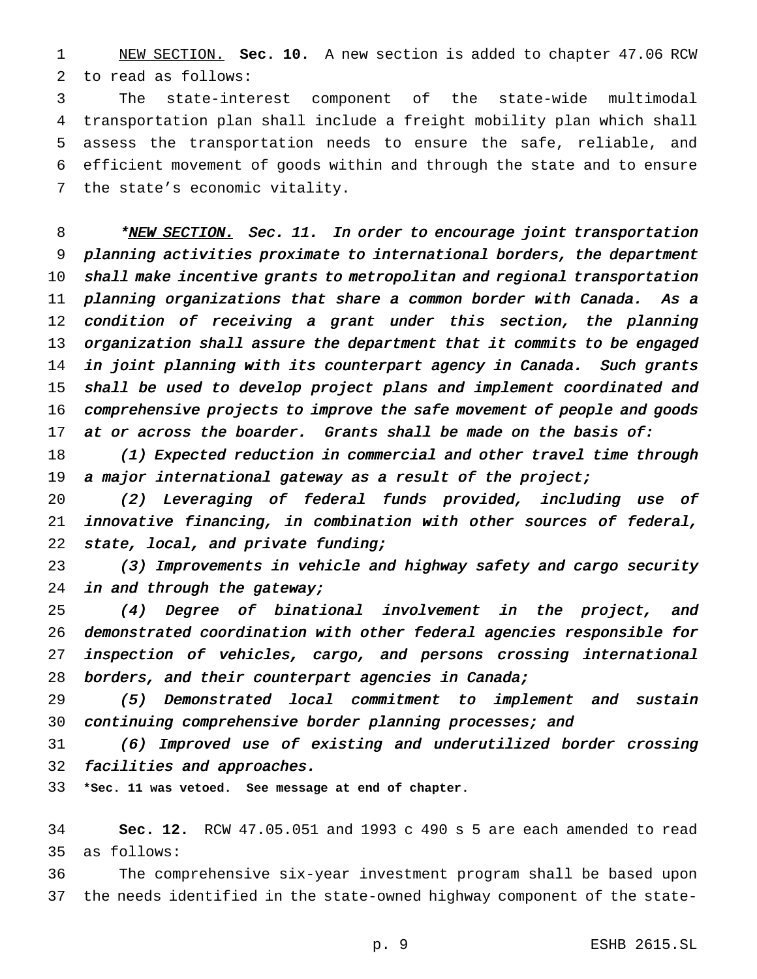NEW SECTION. **Sec. 10.** A new section is added to chapter 47.06 RCW to read as follows:

 The state-interest component of the state-wide multimodal transportation plan shall include a freight mobility plan which shall assess the transportation needs to ensure the safe, reliable, and efficient movement of goods within and through the state and to ensure the state's economic vitality.

8 \*NEW SECTION. Sec. 11. In order to encourage joint transportation planning activities proximate to international borders, the department shall make incentive grants to metropolitan and regional transportation planning organizations that share <sup>a</sup> common border with Canada. As <sup>a</sup> condition of receiving <sup>a</sup> grant under this section, the planning organization shall assure the department that it commits to be engaged in joint planning with its counterpart agency in Canada. Such grants shall be used to develop project plans and implement coordinated and comprehensive projects to improve the safe movement of people and goods 17 at or across the boarder. Grants shall be made on the basis of:

18 (1) Expected reduction in commercial and other travel time through 19 a major international gateway as a result of the project;

 (2) Leveraging of federal funds provided, including use of innovative financing, in combination with other sources of federal, 22 state, local, and private funding;

 (3) Improvements in vehicle and highway safety and cargo security 24 in and through the gateway;

 (4) Degree of binational involvement in the project, and demonstrated coordination with other federal agencies responsible for inspection of vehicles, cargo, and persons crossing international borders, and their counterpart agencies in Canada;

 (5) Demonstrated local commitment to implement and sustain 30 continuing comprehensive border planning processes; and

 (6) Improved use of existing and underutilized border crossing facilities and approaches.

**\*Sec. 11 was vetoed. See message at end of chapter.**

 **Sec. 12.** RCW 47.05.051 and 1993 c 490 s 5 are each amended to read as follows:

 The comprehensive six-year investment program shall be based upon the needs identified in the state-owned highway component of the state-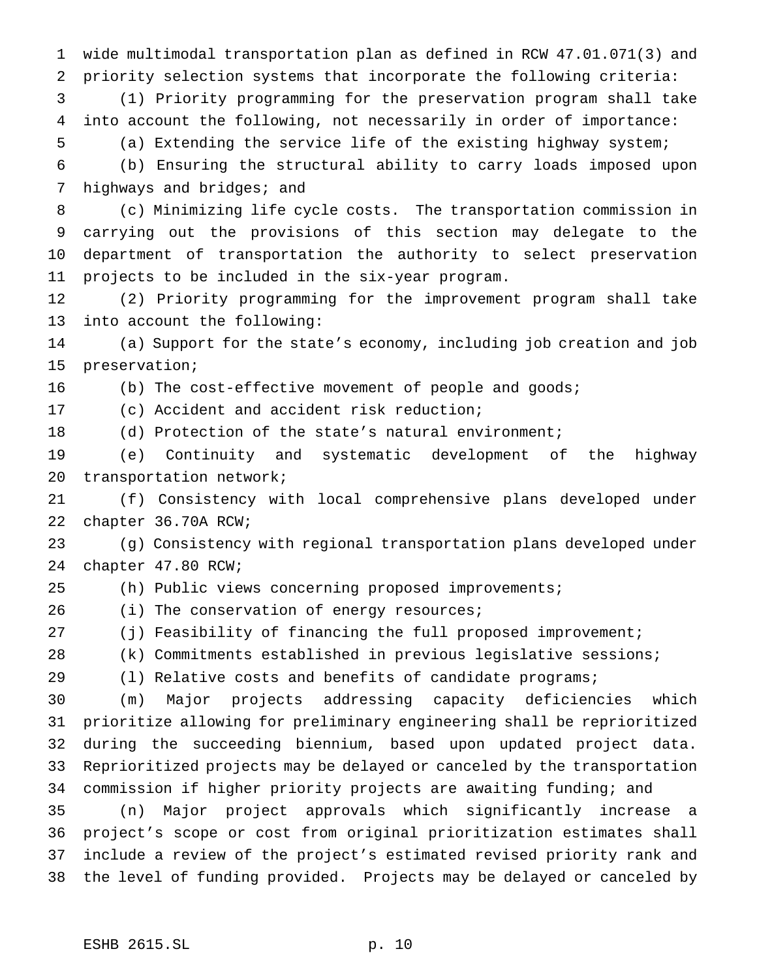wide multimodal transportation plan as defined in RCW 47.01.071(3) and priority selection systems that incorporate the following criteria: (1) Priority programming for the preservation program shall take into account the following, not necessarily in order of importance: (a) Extending the service life of the existing highway system; (b) Ensuring the structural ability to carry loads imposed upon highways and bridges; and (c) Minimizing life cycle costs. The transportation commission in carrying out the provisions of this section may delegate to the department of transportation the authority to select preservation projects to be included in the six-year program. (2) Priority programming for the improvement program shall take into account the following: (a) Support for the state's economy, including job creation and job preservation; (b) The cost-effective movement of people and goods; (c) Accident and accident risk reduction; (d) Protection of the state's natural environment; (e) Continuity and systematic development of the highway transportation network; (f) Consistency with local comprehensive plans developed under chapter 36.70A RCW; (g) Consistency with regional transportation plans developed under chapter 47.80 RCW; (h) Public views concerning proposed improvements; 26 (i) The conservation of energy resources; (j) Feasibility of financing the full proposed improvement; (k) Commitments established in previous legislative sessions; (l) Relative costs and benefits of candidate programs; (m) Major projects addressing capacity deficiencies which prioritize allowing for preliminary engineering shall be reprioritized during the succeeding biennium, based upon updated project data. Reprioritized projects may be delayed or canceled by the transportation commission if higher priority projects are awaiting funding; and (n) Major project approvals which significantly increase a project's scope or cost from original prioritization estimates shall include a review of the project's estimated revised priority rank and the level of funding provided. Projects may be delayed or canceled by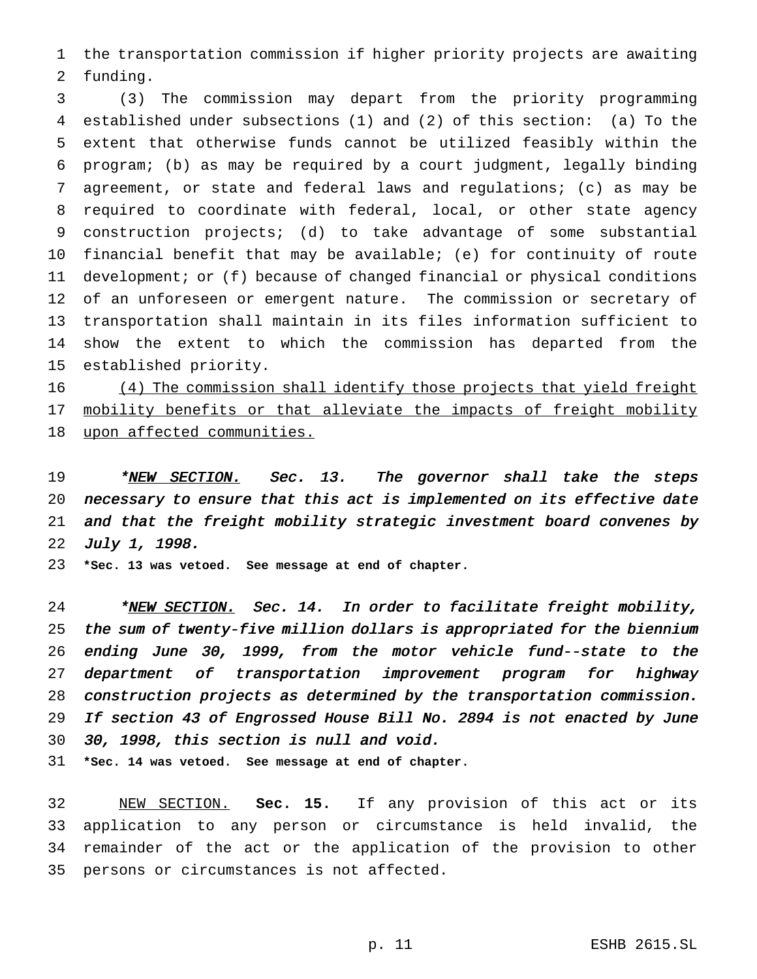the transportation commission if higher priority projects are awaiting funding.

 (3) The commission may depart from the priority programming established under subsections (1) and (2) of this section: (a) To the extent that otherwise funds cannot be utilized feasibly within the program; (b) as may be required by a court judgment, legally binding agreement, or state and federal laws and regulations; (c) as may be required to coordinate with federal, local, or other state agency construction projects; (d) to take advantage of some substantial financial benefit that may be available; (e) for continuity of route development; or (f) because of changed financial or physical conditions of an unforeseen or emergent nature. The commission or secretary of transportation shall maintain in its files information sufficient to show the extent to which the commission has departed from the established priority.

 (4) The commission shall identify those projects that yield freight mobility benefits or that alleviate the impacts of freight mobility upon affected communities.

19 \*NEW SECTION. Sec. 13. The governor shall take the steps necessary to ensure that this act is implemented on its effective date and that the freight mobility strategic investment board convenes by July 1, 1998.

**\*Sec. 13 was vetoed. See message at end of chapter.**

24 \*NEW SECTION. Sec. 14. In order to facilitate freight mobility, the sum of twenty-five million dollars is appropriated for the biennium ending June 30, 1999, from the motor vehicle fund--state to the department of transportation improvement program for highway construction projects as determined by the transportation commission. If section <sup>43</sup> of Engrossed House Bill No. <sup>2894</sup> is not enacted by June 30, 1998, this section is null and void. **\*Sec. 14 was vetoed. See message at end of chapter.**

 NEW SECTION. **Sec. 15.** If any provision of this act or its application to any person or circumstance is held invalid, the remainder of the act or the application of the provision to other persons or circumstances is not affected.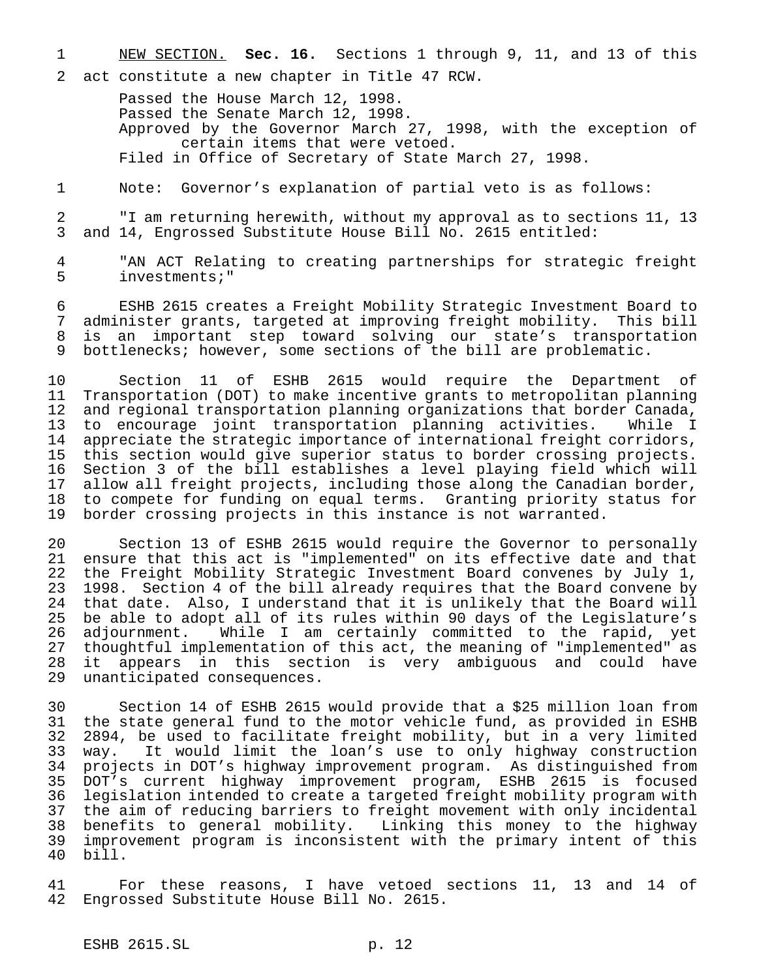- NEW SECTION. **Sec. 16.** Sections 1 through 9, 11, and 13 of this
- act constitute a new chapter in Title 47 RCW.

Passed the House March 12, 1998. Passed the Senate March 12, 1998. Approved by the Governor March 27, 1998, with the exception of certain items that were vetoed. Filed in Office of Secretary of State March 27, 1998.

Note: Governor's explanation of partial veto is as follows:

 "I am returning herewith, without my approval as to sections 11, 13 and 14, Engrossed Substitute House Bill No. 2615 entitled:

 "AN ACT Relating to creating partnerships for strategic freight investments;"

 ESHB 2615 creates a Freight Mobility Strategic Investment Board to administer grants, targeted at improving freight mobility. This bill is an important step toward solving our state's transportation bottlenecks; however, some sections of the bill are problematic.

 Section 11 of ESHB 2615 would require the Department of Transportation (DOT) to make incentive grants to metropolitan planning and regional transportation planning organizations that border Canada, to encourage joint transportation planning activities. While I 14 appreciate the strategic importance of international freight corridors,<br>15 this section would give superior status to border crossing projects. this section would give superior status to border crossing projects. 16 Section 3 of the bill establishes a level playing field which will<br>17 allow all freight projects, including those along the Canadian border, allow all freight projects, including those along the Canadian border, to compete for funding on equal terms. Granting priority status for border crossing projects in this instance is not warranted.

 Section 13 of ESHB 2615 would require the Governor to personally ensure that this act is "implemented" on its effective date and that the Freight Mobility Strategic Investment Board convenes by July 1, 1998. Section 4 of the bill already requires that the Board convene by 24 that date. Also, I understand that it is unlikely that the Board will<br>25 be able to adopt all of its rules within 90 days of the Legislature's be able to adopt all of its rules within 90 days of the Legislature's adjournment. While I am certainly committed to the rapid, yet thoughtful implementation of this act, the meaning of "implemented" as it appears in this section is very ambiguous and could have unanticipated consequences.

 Section 14 of ESHB 2615 would provide that a \$25 million loan from the state general fund to the motor vehicle fund, as provided in ESHB 2894, be used to facilitate freight mobility, but in a very limited way. It would limit the loan's use to only highway construction projects in DOT's highway improvement program. As distinguished from DOT's current highway improvement program, ESHB 2615 is focused legislation intended to create a targeted freight mobility program with the aim of reducing barriers to freight movement with only incidental benefits to general mobility. Linking this money to the highway improvement program is inconsistent with the primary intent of this bill.

 For these reasons, I have vetoed sections 11, 13 and 14 of Engrossed Substitute House Bill No. 2615.